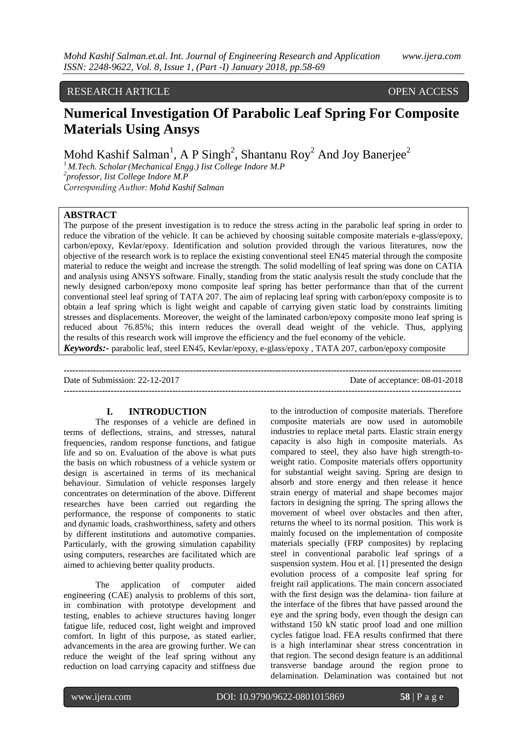# RESEARCH ARTICLE OPEN ACCESS

# **Numerical Investigation Of Parabolic Leaf Spring For Composite Materials Using Ansys**

Mohd Kashif Salman<sup>1</sup>, A P Singh<sup>2</sup>, Shantanu Roy<sup>2</sup> And Joy Banerjee<sup>2</sup>

<sup>1</sup>*M.Tech. Scholar(Mechanical Engg.) Iist College Indore M.P 2 professor, Iist College Indore M.P Corresponding Author: Mohd Kashif Salman*

#### **ABSTRACT**

The purpose of the present investigation is to reduce the stress acting in the parabolic leaf spring in order to reduce the vibration of the vehicle. It can be achieved by choosing suitable composite materials e-glass/epoxy, carbon/epoxy, Kevlar/epoxy. Identification and solution provided through the various literatures, now the objective of the research work is to replace the existing conventional steel EN45 material through the composite material to reduce the weight and increase the strength. The solid modelling of leaf spring was done on CATIA and analysis using ANSYS software. Finally, standing from the static analysis result the study conclude that the newly designed carbon/epoxy mono composite leaf spring has better performance than that of the current conventional steel leaf spring of TATA 207. The aim of replacing leaf spring with carbon/epoxy composite is to obtain a leaf spring which is light weight and capable of carrying given static load by constraints limiting stresses and displacements. Moreover, the weight of the laminated carbon/epoxy composite mono leaf spring is reduced about 76.85%; this intern reduces the overall dead weight of the vehicle. Thus, applying the results of this research work will improve the efficiency and the fuel economy of the vehicle.

*Keywords:-* parabolic leaf, steel EN45, Kevlar/epoxy, e-glass/epoxy , TATA 207, carbon/epoxy composite

**---------------------------------------------------------------------------------------------------------------------------------------** Date of Submission: 22-12-2017 Date of acceptance: 08-01-2018 **---------------------------------------------------------------------------------------------------------------------------------------**

### **I. INTRODUCTION**

The responses of a vehicle are defined in terms of deflections, strains, and stresses, natural frequencies, random response functions, and fatigue life and so on. Evaluation of the above is what puts the basis on which robustness of a vehicle system or design is ascertained in terms of its mechanical behaviour. Simulation of vehicle responses largely concentrates on determination of the above. Different researches have been carried out regarding the performance, the response of components to static and dynamic loads, crashworthiness, safety and others by different institutions and automotive companies. Particularly, with the growing simulation capability using computers, researches are facilitated which are aimed to achieving better quality products.

The application of computer aided engineering (CAE) analysis to problems of this sort, in combination with prototype development and testing, enables to achieve structures having longer fatigue life, reduced cost, light weight and improved comfort. In light of this purpose, as stated earlier, advancements in the area are growing further. We can reduce the weight of the leaf spring without any reduction on load carrying capacity and stiffness due

to the introduction of composite materials. Therefore composite materials are now used in automobile industries to replace metal parts. Elastic strain energy capacity is also high in composite materials. As compared to steel, they also have high strength-toweight ratio. Composite materials offers opportunity for substantial weight saving. Spring are design to absorb and store energy and then release it hence strain energy of material and shape becomes major factors in designing the spring. The spring allows the movement of wheel over obstacles and then after, returns the wheel to its normal position. This work is mainly focused on the implementation of composite materials specially (FRP composites) by replacing steel in conventional parabolic leaf springs of a suspension system. Hou et al. [1] presented the design evolution process of a composite leaf spring for freight rail applications. The main concern associated with the first design was the delamina- tion failure at the interface of the fibres that have passed around the eye and the spring body, even though the design can withstand 150 kN static proof load and one million cycles fatigue load. FEA results confirmed that there is a high interlaminar shear stress concentration in that region. The second design feature is an additional transverse bandage around the region prone to delamination. Delamination was contained but not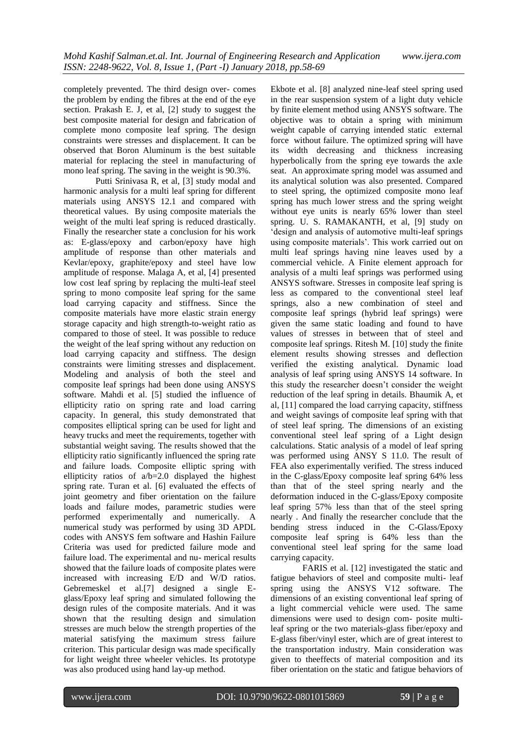completely prevented. The third design over- comes the problem by ending the fibres at the end of the eye section. Prakash E. J, et al, [2] study to suggest the best composite material for design and fabrication of complete mono composite leaf spring. The design constraints were stresses and displacement. It can be observed that Boron Aluminum is the best suitable material for replacing the steel in manufacturing of mono leaf spring. The saving in the weight is 90.3%.

Putti Srinivasa R, et al, [3] study modal and harmonic analysis for a multi leaf spring for different materials using ANSYS 12.1 and compared with theoretical values. By using composite materials the weight of the multi leaf spring is reduced drastically. Finally the researcher state a conclusion for his work as: E-glass/epoxy and carbon/epoxy have high amplitude of response than other materials and Kevlar/epoxy, graphite/epoxy and steel have low amplitude of response. Malaga A, et al, [4] presented low cost leaf spring by replacing the multi-leaf steel spring to mono composite leaf spring for the same load carrying capacity and stiffness. Since the composite materials have more elastic strain energy storage capacity and high strength-to-weight ratio as compared to those of steel. It was possible to reduce the weight of the leaf spring without any reduction on load carrying capacity and stiffness. The design constraints were limiting stresses and displacement. Modeling and analysis of both the steel and composite leaf springs had been done using ANSYS software. Mahdi et al. [5] studied the influence of ellipticity ratio on spring rate and load carring capacity. In general, this study demonstrated that composites elliptical spring can be used for light and heavy trucks and meet the requirements, together with substantial weight saving. The results showed that the ellipticity ratio significantly influenced the spring rate and failure loads. Composite elliptic spring with ellipticity ratios of a/b=2.0 displayed the highest spring rate. Turan et al. [6] evaluated the effects of joint geometry and fiber orientation on the failure loads and failure modes, parametric studies were performed experimentally and numerically. A numerical study was performed by using 3D APDL codes with ANSYS fem software and Hashin Failure Criteria was used for predicted failure mode and failure load. The experimental and nu- merical results showed that the failure loads of composite plates were increased with increasing E/D and W/D ratios. Gebremeskel et al.[7] designed a single Eglass/Epoxy leaf spring and simulated following the design rules of the composite materials. And it was shown that the resulting design and simulation stresses are much below the strength properties of the material satisfying the maximum stress failure criterion. This particular design was made specifically for light weight three wheeler vehicles. Its prototype was also produced using hand lay-up method.

Ekbote et al. [8] analyzed nine-leaf steel spring used in the rear suspension system of a light duty vehicle by finite element method using ANSYS software. The objective was to obtain a spring with minimum weight capable of carrying intended static external force without failure. The optimized spring will have its width decreasing and thickness increasing hyperbolically from the spring eye towards the axle seat. An approximate spring model was assumed and its analytical solution was also presented. Compared to steel spring, the optimized composite mono leaf spring has much lower stress and the spring weight without eye units is nearly 65% lower than steel spring. U. S. RAMAKANTH, et al, [9] study on "design and analysis of automotive multi-leaf springs using composite materials'. This work carried out on multi leaf springs having nine leaves used by a commercial vehicle. A Finite element approach for analysis of a multi leaf springs was performed using ANSYS software. Stresses in composite leaf spring is less as compared to the conventional steel leaf springs, also a new combination of steel and composite leaf springs (hybrid leaf springs) were given the same static loading and found to have values of stresses in between that of steel and composite leaf springs. Ritesh M. [10] study the finite element results showing stresses and deflection verified the existing analytical. Dynamic load analysis of leaf spring using ANSYS 14 software. In this study the researcher doesn"t consider the weight reduction of the leaf spring in details. Bhaumik A, et al, [11] compared the load carrying capacity, stiffness and weight savings of composite leaf spring with that of steel leaf spring. The dimensions of an existing conventional steel leaf spring of a Light design calculations. Static analysis of a model of leaf spring was performed using ANSY S 11.0. The result of FEA also experimentally verified. The stress induced in the C-glass/Epoxy composite leaf spring 64% less than that of the steel spring nearly and the deformation induced in the C-glass/Epoxy composite leaf spring 57% less than that of the steel spring nearly . And finally the researcher conclude that the bending stress induced in the C-Glass/Epoxy composite leaf spring is 64% less than the conventional steel leaf spring for the same load carrying capacity.

FARIS et al. [12] investigated the static and fatigue behaviors of steel and composite multi- leaf spring using the ANSYS V12 software. The dimensions of an existing conventional leaf spring of a light commercial vehicle were used. The same dimensions were used to design com- posite multileaf spring or the two materials-glass fiber/epoxy and E-glass fiber/vinyl ester, which are of great interest to the transportation industry. Main consideration was given to theeffects of material composition and its fiber orientation on the static and fatigue behaviors of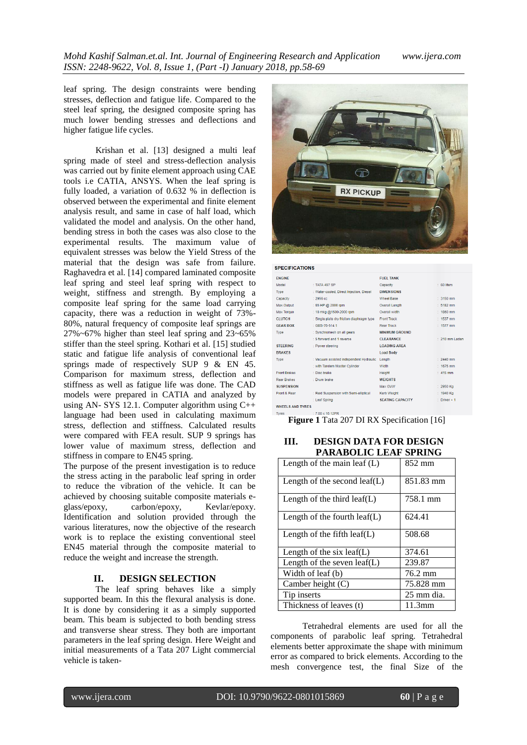leaf spring. The design constraints were bending stresses, deflection and fatigue life. Compared to the steel leaf spring, the designed composite spring has much lower bending stresses and deflections and higher fatigue life cycles.

Krishan et al. [13] designed a multi leaf spring made of steel and stress-deflection analysis was carried out by finite element approach using CAE tools i.e CATIA, ANSYS. When the leaf spring is fully loaded, a variation of 0.632 % in deflection is observed between the experimental and finite element analysis result, and same in case of half load, which validated the model and analysis. On the other hand, bending stress in both the cases was also close to the experimental results. The maximum value of equivalent stresses was below the Yield Stress of the material that the design was safe from failure. Raghavedra et al. [14] compared laminated composite leaf spring and steel leaf spring with respect to weight, stiffness and strength. By employing a composite leaf spring for the same load carrying capacity, there was a reduction in weight of 73%- 80%, natural frequency of composite leaf springs are 27%~67% higher than steel leaf spring and 23~65% stiffer than the steel spring. Kothari et al. [15] studied static and fatigue life analysis of conventional leaf springs made of respectively SUP 9 & EN 45. Comparison for maximum stress, deflection and stiffness as well as fatigue life was done. The CAD models were prepared in CATIA and analyzed by using AN- SYS 12.1. Computer algorithm using C++ language had been used in calculating maximum stress, deflection and stiffness. Calculated results were compared with FEA result. SUP 9 springs has lower value of maximum stress, deflection and stiffness in compare to EN45 spring.

The purpose of the present investigation is to reduce the stress acting in the parabolic leaf spring in order to reduce the vibration of the vehicle. It can be achieved by choosing suitable composite materials eglass/epoxy, carbon/epoxy, Kevlar/epoxy. Identification and solution provided through the various literatures, now the objective of the research work is to replace the existing conventional steel EN45 material through the composite material to reduce the weight and increase the strength.

#### **II. DESIGN SELECTION**

The leaf spring behaves like a simply supported beam. In this the flexural analysis is done. It is done by considering it as a simply supported beam. This beam is subjected to both bending stress and transverse shear stress. They both are important parameters in the leaf spring design. Here Weight and initial measurements of a Tata 207 Light commercial vehicle is taken-



#### **SPECIFICATIONS**

| <b>FNGINE</b>                       |                                            | <b>FUEL TANK</b>        |                 |  |
|-------------------------------------|--------------------------------------------|-------------------------|-----------------|--|
| Model                               | : TATA 497 SP                              | Capacity                | $: 60$ liters   |  |
| Type                                | : Water-cooled. Direct Injection. Diesel   | <b>DIMENSIONS</b>       |                 |  |
| Capacity                            | $: 2956$ cc                                | <b>Wheel Base</b>       | $: 3150$ mm     |  |
| Max.Output                          | : 65 HP @ 2800 rpm                         | <b>Overall Length</b>   | 5182 mm         |  |
| <b>Max Torque</b>                   | : 18 mkg @1500-2000 rpm                    | Overall width           | $-1860$ mm      |  |
| <b>CLUTCH</b>                       | : Single plate dry friction diaphragm type | <b>Front Track</b>      | 1537 mm         |  |
| <b>GEAR BOX</b><br>$: GBS-76-514.1$ |                                            | <b>Rear Track</b>       | 1577 mm         |  |
| Type                                | : Synchromesh on all gears                 | <b>MINIMUM GROUND</b>   |                 |  |
|                                     | : 5 forward and 1 reverse                  | <b>CLEARANCE</b>        | $-210$ mm Laden |  |
| <b>STEERING</b>                     | : Power steering                           | <b>LOADING AREA</b>     |                 |  |
| <b>BRAKES</b>                       |                                            | <b>Load Body</b>        |                 |  |
| Type                                | : Vacuum assisted independent Hydraulic    | Length                  | 2440 mm         |  |
|                                     | : with Tandem Master Cylinder              | Width                   | 1675 mm         |  |
| <b>Front Brakes</b>                 | : Disc brake                               | Height                  | 415 mm          |  |
| <b>Rear Brakes</b>                  | : Drum brake                               | <b>WEIGHTS</b>          |                 |  |
| <b>SUSPENSION</b>                   |                                            | Max GVW                 | $: 2950$ Ka     |  |
| Front & Rear                        | : Reid Suspension with Semi-elliptical     | <b>Kerb Weight</b>      | 1940 Kg         |  |
|                                     | : Leaf Spring                              | <b>SEATING CAPACITY</b> | Driver + 1      |  |
| <b>WHEELS AND TYRES</b>             |                                            |                         |                 |  |

 $: 7.00 \times 16$  12PR

**Figure 1** Tata 207 DI RX Specification [16]

# **III. DESIGN DATA FOR DESIGN PARABOLIC LEAF SPRING**

| Length of the main leaf $(L)$    | 852 mm     |
|----------------------------------|------------|
| Length of the second leaf( $L$ ) | 851.83 mm  |
| Length of the third leaf(L)      | 758.1 mm   |
| Length of the fourth $leaf(L)$   | 624.41     |
| Length of the fifth $leaf(L)$    | 508.68     |
| Length of the six leaf(L)        | 374.61     |
| Length of the seven $leaf(L)$    | 239.87     |
| Width of leaf (b)                | 76.2 mm    |
| Camber height $(C)$              | 75.828 mm  |
| Tip inserts                      | 25 mm dia. |
| Thickness of leaves (t)          | $11.3$ mm  |

Tetrahedral elements are used for all the components of parabolic leaf spring. Tetrahedral elements better approximate the shape with minimum error as compared to brick elements. According to the mesh convergence test, the final Size of the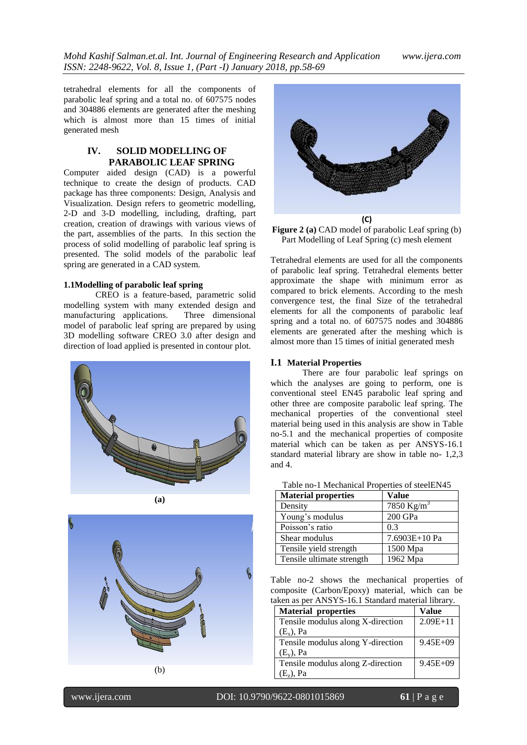*Mohd Kashif Salman.et.al. Int. Journal of Engineering Research and Application www.ijera.com ISSN: 2248-9622, Vol. 8, Issue 1, (Part -I) January 2018, pp.58-69*

tetrahedral elements for all the components of parabolic leaf spring and a total no. of 607575 nodes and 304886 elements are generated after the meshing which is almost more than 15 times of initial generated mesh

# **IV. SOLID MODELLING OF PARABOLIC LEAF SPRING**

Computer aided design (CAD) is a powerful technique to create the design of products. CAD package has three components: Design, Analysis and Visualization. Design refers to geometric modelling, 2-D and 3-D modelling, including, drafting, part creation, creation of drawings with various views of the part, assemblies of the parts. In this section the process of solid modelling of parabolic leaf spring is presented. The solid models of the parabolic leaf spring are generated in a CAD system.

#### **1.1Modelling of parabolic leaf spring**

CREO is a feature-based, parametric solid modelling system with many extended design and manufacturing applications. Three dimensional model of parabolic leaf spring are prepared by using 3D modelling software CREO 3.0 after design and direction of load applied is presented in contour plot.





$$
(\mathbf{b})
$$



**Figure 2 (a)** CAD model of parabolic Leaf spring (b) Part Modelling of Leaf Spring (c) mesh element

Tetrahedral elements are used for all the components of parabolic leaf spring. Tetrahedral elements better approximate the shape with minimum error as compared to brick elements. According to the mesh convergence test, the final Size of the tetrahedral elements for all the components of parabolic leaf spring and a total no. of 607575 nodes and 304886 elements are generated after the meshing which is almost more than 15 times of initial generated mesh

#### **I.1 Material Properties**

There are four parabolic leaf springs on which the analyses are going to perform, one is conventional steel EN45 parabolic leaf spring and other three are composite parabolic leaf spring. The mechanical properties of the conventional steel material being used in this analysis are show in Table no-5.1 and the mechanical properties of composite material which can be taken as per ANSYS-16.1 standard material library are show in table no- 1,2,3 and 4.

| <b>Material properties</b> | Value                  |  |
|----------------------------|------------------------|--|
| Density                    | 7850 Kg/m <sup>3</sup> |  |
| Young's modulus            | 200 GPa                |  |
| Poisson's ratio            | 0.3                    |  |
| Shear modulus              | 7.6903E+10 Pa          |  |
| Tensile yield strength     | 1500 Mpa               |  |
| Tensile ultimate strength  | 1962 Mpa               |  |

Table no-2 shows the mechanical properties of composite (Carbon/Epoxy) material, which can be taken as per ANSYS-16.1 Standard material library.

| <b>Material properties</b>        | Value        |
|-----------------------------------|--------------|
| Tensile modulus along X-direction | $2.09E+11$   |
| $(E_x)$ , Pa                      |              |
| Tensile modulus along Y-direction | $9.45E + 09$ |
| $(E_v)$ , Pa                      |              |
| Tensile modulus along Z-direction | $9.45E + 09$ |
| $(E_7)$ , Pa                      |              |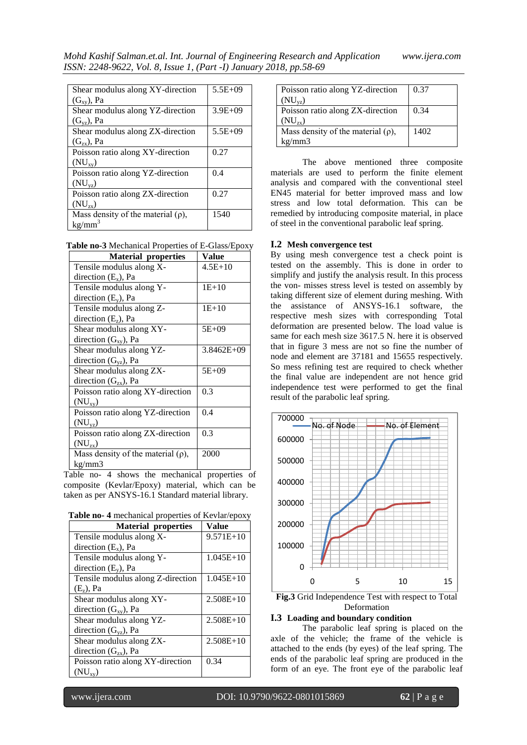| Shear modulus along XY-direction        | 5.5E+09     |
|-----------------------------------------|-------------|
| $(G_{xy})$ , Pa                         |             |
| Shear modulus along YZ-direction        | $3.9E + 09$ |
| $(G_{vz})$ , Pa                         |             |
| Shear modulus along ZX-direction        | $5.5E + 09$ |
| $(G_{zx}), Pa$                          |             |
| Poisson ratio along XY-direction        | 0.27        |
| $(NU_{xy})$                             |             |
| Poisson ratio along YZ-direction        | 0.4         |
| $(NU_{vz})$                             |             |
| Poisson ratio along ZX-direction        | 0.27        |
| $(NU_{zx})$                             |             |
| Mass density of the material $(\rho)$ , | 1540        |
| $kg/mm^3$                               |             |

**Table no-3** Mechanical Properties of E-Glass/Epoxy

| <b>Material properties</b>              | Value          |
|-----------------------------------------|----------------|
| Tensile modulus along X-                | $4.5E+10$      |
| direction $(E_x)$ , Pa                  |                |
| Tensile modulus along Y-                | $1E+10$        |
| direction $(E_v)$ , Pa                  |                |
| Tensile modulus along Z-                | $1E+10$        |
| direction $(E_z)$ , Pa                  |                |
| Shear modulus along XY-                 | 5E+09          |
| direction $(G_{xy})$ , Pa               |                |
| Shear modulus along YZ-                 | $3.8462E + 09$ |
| direction $(G_{vz})$ , Pa               |                |
| Shear modulus along ZX-                 | 5E+09          |
| direction $(G_{zx})$ , Pa               |                |
| Poisson ratio along XY-direction        | 0.3            |
| $(NU_{xy})$                             |                |
| Poisson ratio along YZ-direction        | 0.4            |
| $(NU_{vz})$                             |                |
| Poisson ratio along ZX-direction        | 0.3            |
| $(NU_{zx})$                             |                |
| Mass density of the material $(\rho)$ , | 2000           |
| kg/mm3                                  |                |

Table no- 4 shows the mechanical properties of composite (Kevlar/Epoxy) material, which can be taken as per ANSYS-16.1 Standard material library.

| <b>Material properties</b>        | Value       |
|-----------------------------------|-------------|
| Tensile modulus along X-          | $9.571E+10$ |
| direction $(E_x)$ , Pa            |             |
| Tensile modulus along Y-          | $1.045E+10$ |
| direction $(E_v)$ , Pa            |             |
| Tensile modulus along Z-direction | 1.045E+10   |
| $(E_7)$ , Pa                      |             |
| Shear modulus along XY-           | $2.508E+10$ |
| direction $(G_{xy})$ , Pa         |             |
| Shear modulus along YZ-           | $2.508E+10$ |
| direction $(G_{vz})$ , Pa         |             |
| Shear modulus along ZX-           | $2.508E+10$ |
| direction $(G_{zx})$ , Pa         |             |
| Poisson ratio along XY-direction  | 0.34        |
| $(NU_{xy})$                       |             |

| Poisson ratio along YZ-direction        | 0.37 |
|-----------------------------------------|------|
| $(NU_{vz})$                             |      |
| Poisson ratio along ZX-direction        | 0.34 |
| $(NU_{\tau_{\rm v}})$                   |      |
| Mass density of the material $(\rho)$ , | 1402 |
| kg/mm3                                  |      |

The above mentioned three composite materials are used to perform the finite element analysis and compared with the conventional steel EN45 material for better improved mass and low stress and low total deformation. This can be remedied by introducing composite material, in place of steel in the conventional parabolic leaf spring.

#### **I.2 Mesh convergence test**

By using mesh convergence test a check point is tested on the assembly. This is done in order to simplify and justify the analysis result. In this process the von- misses stress level is tested on assembly by taking different size of element during meshing. With the assistance of ANSYS-16.1 software, the respective mesh sizes with corresponding Total deformation are presented below. The load value is same for each mesh size 3617.5 N. here it is observed that in figure 3 mess are not so fine the number of node and element are 37181 and 15655 respectively. So mess refining test are required to check whether the final value are independent are not hence grid independence test were performed to get the final result of the parabolic leaf spring.



**Fig.3** Grid Independence Test with respect to Total Deformation

## **I.3 Loading and boundary condition**

The parabolic leaf spring is placed on the axle of the vehicle; the frame of the vehicle is attached to the ends (by eyes) of the leaf spring. The ends of the parabolic leaf spring are produced in the form of an eye. The front eye of the parabolic leaf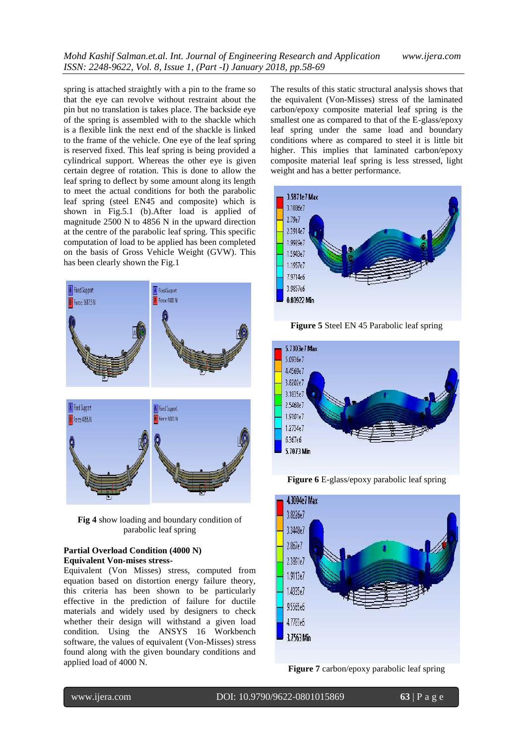spring is attached straightly with a pin to the frame so that the eye can revolve without restraint about the pin but no translation is takes place. The backside eye of the spring is assembled with to the shackle which is a flexible link the next end of the shackle is linked to the frame of the vehicle. One eye of the leaf spring is reserved fixed. This leaf spring is being provided a cylindrical support. Whereas the other eye is given certain degree of rotation. This is done to allow the leaf spring to deflect by some amount along its length to meet the actual conditions for both the parabolic leaf spring (steel EN45 and composite) which is shown in Fig.5.1 (b).After load is applied of magnitude 2500 N to 4856 N in the upward direction at the centre of the parabolic leaf spring. This specific computation of load to be applied has been completed on the basis of Gross Vehicle Weight (GVW). This has been clearly shown the Fig.1



**Fig 4** show loading and boundary condition of parabolic leaf spring

#### **Partial Overload Condition (4000 N) Equivalent Von-mises stress-**

Equivalent (Von Misses) stress, computed from equation based on distortion energy failure theory, this criteria has been shown to be particularly effective in the prediction of failure for ductile materials and widely used by designers to check whether their design will withstand a given load condition. Using the ANSYS 16 Workbench software, the values of equivalent (Von-Misses) stress found along with the given boundary conditions and applied load of 4000 N.

The results of this static structural analysis shows that the equivalent (Von-Misses) stress of the laminated carbon/epoxy composite material leaf spring is the smallest one as compared to that of the E-glass/epoxy leaf spring under the same load and boundary conditions where as compared to steel it is little bit higher. This implies that laminated carbon/epoxy composite material leaf spring is less stressed, light weight and has a better performance.



**Figure 5** Steel EN 45 Parabolic leaf spring



**Figure 6** E-glass/epoxy parabolic leaf spring



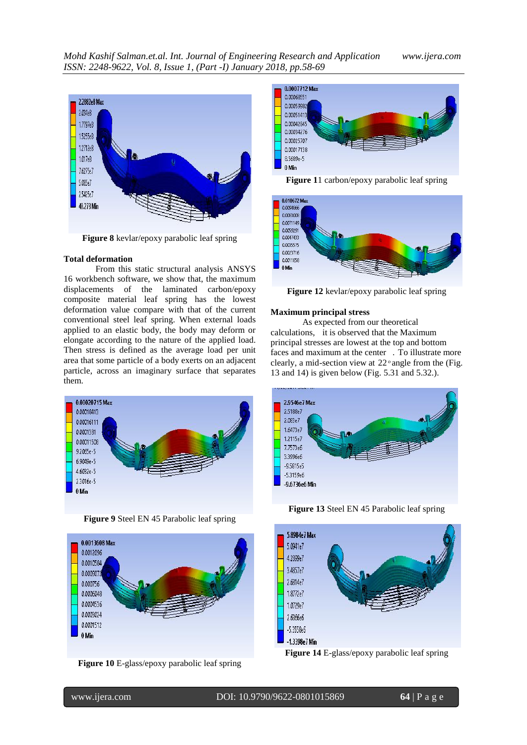

**Figure 8** kevlar/epoxy parabolic leaf spring

#### **Total deformation**

From this static structural analysis ANSYS 16 workbench software, we show that, the maximum displacements of the laminated carbon/epoxy composite material leaf spring has the lowest deformation value compare with that of the current conventional steel leaf spring. When external loads applied to an elastic body, the body may deform or elongate according to the nature of the applied load. Then stress is defined as the average load per unit area that some particle of a body exerts on an adjacent particle, across an imaginary surface that separates them.







**Figure 10** E-glass/epoxy parabolic leaf spring



**Figure 1**1 carbon/epoxy parabolic leaf spring



**Figure 12** kevlar/epoxy parabolic leaf spring

#### **Maximum principal stress**

As expected from our theoretical calculations, it is observed that the Maximum principal stresses are lowest at the top and bottom faces and maximum at the center . To illustrate more clearly, a mid-section view at  $22^{\circ}$  angle from the (Fig. 13 and 14) is given below (Fig. 5.31 and 5.32.).





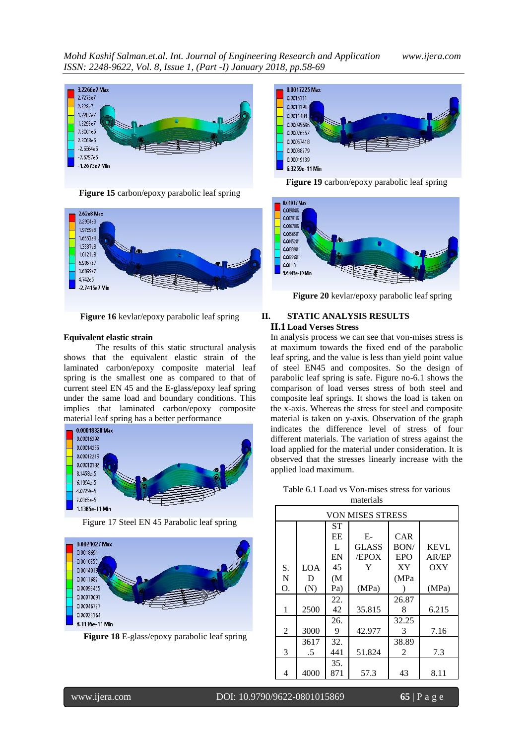





**Figure 16** kevlar/epoxy parabolic leaf spring

#### **Equivalent elastic strain**

The results of this static structural analysis shows that the equivalent elastic strain of the laminated carbon/epoxy composite material leaf spring is the smallest one as compared to that of current steel EN 45 and the E-glass/epoxy leaf spring under the same load and boundary conditions. This implies that laminated carbon/epoxy composite material leaf spring has a better performance



Figure 17 Steel EN 45 Parabolic leaf spring



**Figure 18** E-glass/epoxy parabolic leaf spring



**Figure 19** carbon/epoxy parabolic leaf spring



**Figure 20** kevlar/epoxy parabolic leaf spring

# **II. STATIC ANALYSIS RESULTS II.1 Load Verses Stress**

In analysis process we can see that von-mises stress is at maximum towards the fixed end of the parabolic leaf spring, and the value is less than yield point value of steel EN45 and composites. So the design of parabolic leaf spring is safe. Figure no-6.1 shows the comparison of load verses stress of both steel and composite leaf springs. It shows the load is taken on the x-axis. Whereas the stress for steel and composite material is taken on y-axis. Observation of the graph indicates the difference level of stress of four different materials. The variation of stress against the load applied for the material under consideration. It is observed that the stresses linearly increase with the applied load maximum.

Table 6.1 Load vs Von-mises stress for various materials

|    | <b>VON MISES STRESS</b> |     |              |                |             |
|----|-------------------------|-----|--------------|----------------|-------------|
|    |                         | SТ  |              |                |             |
|    |                         | EΕ  | E-           | CAR            |             |
|    |                         | L   | <b>GLASS</b> | BON/           | <b>KEVL</b> |
|    |                         | EN  | <b>EPOX</b>  | EPO            | AR/EP       |
| S. | LOA                     | 45  | Y            | XY             | OXY         |
| N  | D                       | (M  |              | (MPa           |             |
| Ο. | (N)                     | Pa) | (MPa)        |                | (MPa)       |
|    |                         | 22. |              | 26.87          |             |
| 1  | 2500                    | 42  | 35.815       | 8              | 6.215       |
|    |                         | 26. |              | 32.25          |             |
| 2  | 3000                    | 9   | 42.977       | $\mathcal{F}$  | 7.16        |
|    | 3617                    | 32. |              | 38.89          |             |
| 3  | .5                      | 441 | 51.824       | $\mathfrak{D}$ | 7.3         |
|    |                         | 35. |              |                |             |
| 4  | 4000                    | 871 | 57.3         | 43             | 8.11        |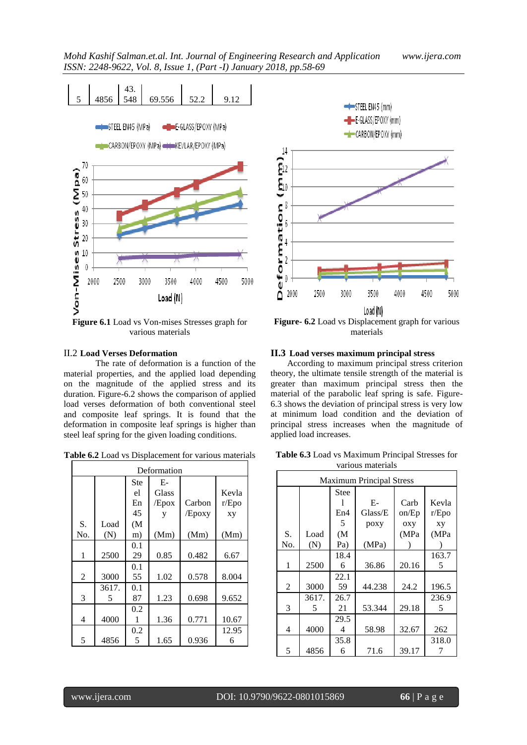

**Figure 6.1** Load vs Von-mises Stresses graph for various materials

# II.2 **Load Verses Deformation**

The rate of deformation is a function of the material properties, and the applied load depending on the magnitude of the applied stress and its duration. Figure-6.2 shows the comparison of applied load verses deformation of both conventional steel and composite leaf springs. It is found that the deformation in composite leaf springs is higher than steel leaf spring for the given loading conditions.

| Deformation    |             |                         |                             |                  |                      |
|----------------|-------------|-------------------------|-----------------------------|------------------|----------------------|
|                |             | Ste<br>el<br>En<br>45   | $E-$<br>Glass<br>/Epox<br>у | Carbon<br>/Epoxy | Kevla<br>r/Epo<br>XV |
| S.<br>No.      | Load<br>(N) | (M <sup>2</sup> )<br>m) | (Mm)                        | (Mm)             | (Mm)                 |
| 1              | 2500        | 0.1<br>29               | 0.85                        | 0.482            | 6.67                 |
| $\overline{c}$ | 3000        | 0.1<br>55               | 1.02                        | 0.578            | 8.004                |
| 3              | 3617.<br>5  | 0.1<br>87               | 1.23                        | 0.698            | 9.652                |
| 4              | 4000        | 0.2<br>1                | 1.36                        | 0.771            | 10.67                |
| 5              | 4856        | 0.2<br>5                | 1.65                        | 0.936            | 12.95<br>6           |



**Figure- 6.2** Load vs Displacement graph for various materials

#### **II.3 Load verses maximum principal stress**

According to maximum principal stress criterion theory, the ultimate tensile strength of the material is greater than maximum principal stress then the material of the parabolic leaf spring is safe. Figure-6.3 shows the deviation of principal stress is very low at minimum load condition and the deviation of principal stress increases when the magnitude of applied load increases.

**Table 6.3** Load vs Maximum Principal Stresses for various materials

| <b>Maximum Principal Stress</b> |       |                   |         |       |       |
|---------------------------------|-------|-------------------|---------|-------|-------|
|                                 |       | <b>Stee</b>       |         |       |       |
|                                 |       |                   | $E-$    | Carb  | Kevla |
|                                 |       | En4               | Glass/E | on/Ep | r/Epo |
|                                 |       | 5                 | poxy    | oxy   | xy    |
| S.                              | Load  | (M <sup>2</sup> ) |         | (MPa  | (MPa  |
| No.                             | (N)   | Pa)               | (MPa)   |       |       |
|                                 |       | 18.4              |         |       | 163.7 |
| 1                               | 2500  | 6                 | 36.86   | 20.16 | 5     |
|                                 |       | 22.1              |         |       |       |
| 2                               | 3000  | 59                | 44.238  | 24.2  | 196.5 |
|                                 | 3617. | 26.7              |         |       | 236.9 |
| 3                               | 5     | 21                | 53.344  | 29.18 | 5     |
|                                 |       | 29.5              |         |       |       |
| 4                               | 4000  | 4                 | 58.98   | 32.67 | 262   |
|                                 |       | 35.8              |         |       | 318.0 |
| 5                               | 4856  | 6                 | 71.6    | 39.17 |       |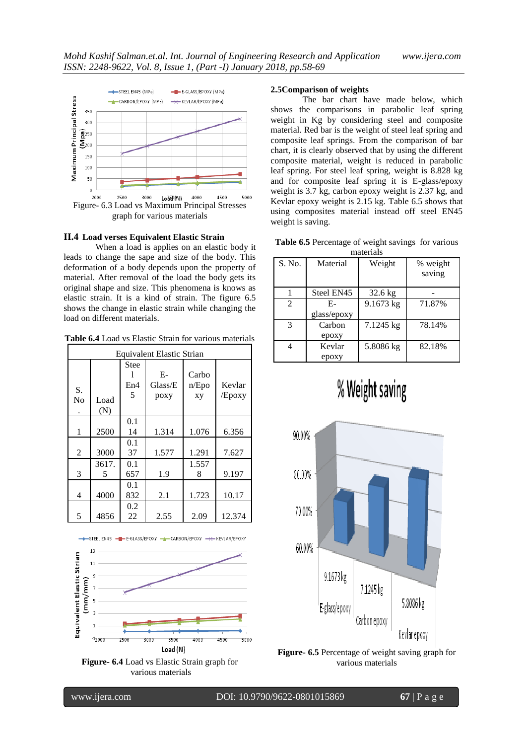

graph for various materials

# **II.4 Load verses Equivalent Elastic Strain**

When a load is applies on an elastic body it leads to change the sape and size of the body. This deformation of a body depends upon the property of material. After removal of the load the body gets its original shape and size. This phenomena is knows as elastic strain. It is a kind of strain. The figure 6.5 shows the change in elastic strain while changing the load on different materials.

**Table 6.4** Load vs Elastic Strain for various materials

| Equivalent Elastic Strian |             |                  |                         |                      |                  |
|---------------------------|-------------|------------------|-------------------------|----------------------|------------------|
| S.<br>No                  | Load<br>(N) | Stee<br>En4<br>5 | $E-$<br>Glass/E<br>poxy | Carbo<br>n/Epo<br>xy | Kevlar<br>/Epoxy |
| 1                         | 2500        | 0.1<br>14        | 1.314                   | 1.076                | 6.356            |
| $\overline{2}$            | 3000        | 0.1<br>37        | 1.577                   | 1.291                | 7.627            |
| 3                         | 3617.<br>5  | 0.1<br>657       | 1.9                     | 1.557<br>8           | 9.197            |
| 4                         | 4000        | 0.1<br>832       | 2.1                     | 1.723                | 10.17            |
| 5                         | 4856        | 0.2<br>22        | 2.55                    | 2.09                 | 12.374           |



-+STEEL EN45 - E-GLASS/EPOXY -+CARBON/EPOXY -><- KEVLAR/EPOXY

**Figure- 6.4** Load vs Elastic Strain graph for various materials

#### **2.5Comparison of weights**

The bar chart have made below, which shows the comparisons in parabolic leaf spring weight in Kg by considering steel and composite material. Red bar is the weight of steel leaf spring and composite leaf springs. From the comparison of bar chart, it is clearly observed that by using the different composite material, weight is reduced in parabolic leaf spring. For steel leaf spring, weight is 8.828 kg and for composite leaf spring it is E-glass/epoxy weight is 3.7 kg, carbon epoxy weight is 2.37 kg, and Kevlar epoxy weight is 2.15 kg. Table 6.5 shows that using composites material instead off steel EN45 weight is saving.

**Table 6.5** Percentage of weight savings for various materials

| шашыла         |             |           |          |  |  |
|----------------|-------------|-----------|----------|--|--|
| S. No.         | Material    | Weight    | % weight |  |  |
|                |             |           | saving   |  |  |
|                | Steel EN45  | $32.6$ kg |          |  |  |
| $\overline{c}$ | Е-          | 9.1673 kg | 71.87%   |  |  |
|                | glass/epoxy |           |          |  |  |
| 3              | Carbon      | 7.1245 kg | 78.14%   |  |  |
|                | epoxy       |           |          |  |  |
|                | Kevlar      | 5.8086 kg | 82.18%   |  |  |
|                | epoxy       |           |          |  |  |

# % Weight saving



**Figure- 6.5** Percentage of weight saving graph for various materials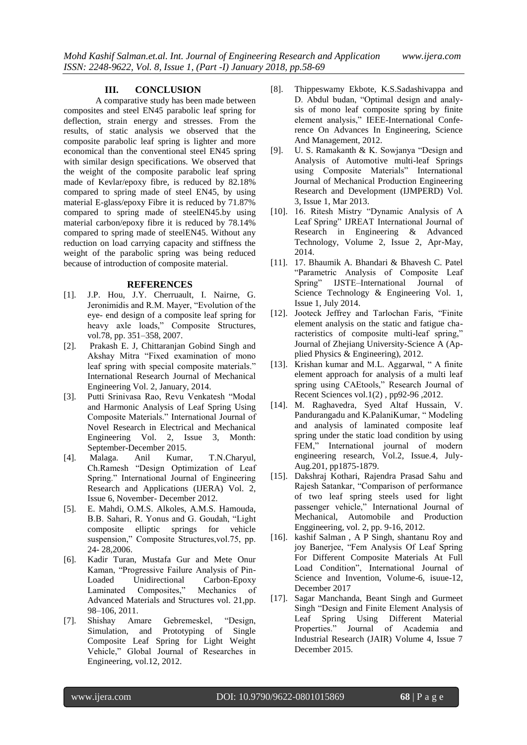#### **III. CONCLUSION**

A comparative study has been made between composites and steel EN45 parabolic leaf spring for deflection, strain energy and stresses. From the results, of static analysis we observed that the composite parabolic leaf spring is lighter and more economical than the conventional steel EN45 spring with similar design specifications. We observed that the weight of the composite parabolic leaf spring made of Kevlar/epoxy fibre, is reduced by 82.18% compared to spring made of steel EN45, by using material E-glass/epoxy Fibre it is reduced by 71.87% compared to spring made of steelEN45.by using material carbon/epoxy fibre it is reduced by 78.14% compared to spring made of steelEN45. Without any reduction on load carrying capacity and stiffness the weight of the parabolic spring was being reduced because of introduction of composite material.

#### **REFERENCES**

- [1]. J.P. Hou, J.Y. Cherruault, I. Nairne, G. Jeronimidis and R.M. Mayer, "Evolution of the eye- end design of a composite leaf spring for heavy axle loads," Composite Structures, vol.78, pp. 351–358, 2007.
- [2]. Prakash E. J, Chittaranjan Gobind Singh and Akshay Mitra "Fixed examination of mono leaf spring with special composite materials." International Research Journal of Mechanical Engineering Vol. 2, January, 2014.
- [3]. Putti Srinivasa Rao, Revu Venkatesh "Modal and Harmonic Analysis of Leaf Spring Using Composite Materials." International Journal of Novel Research in Electrical and Mechanical Engineering Vol. 2, Issue 3, Month: September-December 2015.
- [4]. Malaga. Anil Kumar, T.N.Charyul, Ch.Ramesh "Design Optimization of Leaf Spring." International Journal of Engineering Research and Applications (IJERA) Vol. 2, Issue 6, November- December 2012.
- [5]. E. Mahdi, O.M.S. Alkoles, A.M.S. Hamouda, B.B. Sahari, R. Yonus and G. Goudah, "Light composite elliptic springs for vehicle suspension," Composite Structures,vol.75, pp. 24- 28,2006.
- [6]. Kadir Turan, Mustafa Gur and Mete Onur Kaman, "Progressive Failure Analysis of Pin-Loaded Unidirectional Carbon-Epoxy Laminated Composites," Mechanics of Advanced Materials and Structures vol. 21,pp. 98–106, 2011.
- [7]. Shishay Amare Gebremeskel, "Design, Simulation, and Prototyping of Single Composite Leaf Spring for Light Weight Vehicle," Global Journal of Researches in Engineering, vol.12, 2012.
- [8]. Thippeswamy Ekbote, K.S.Sadashivappa and D. Abdul budan, "Optimal design and analysis of mono leaf composite spring by finite element analysis," IEEE-International Conference On Advances In Engineering, Science And Management, 2012.
- [9]. U. S. Ramakanth & K. Sowjanya "Design and Analysis of Automotive multi-leaf Springs using Composite Materials" International Journal of Mechanical Production Engineering Research and Development (IJMPERD) Vol. 3, Issue 1, Mar 2013.
- [10]. 16. Ritesh Mistry "Dynamic Analysis of A Leaf Spring" IJREAT International Journal of Research in Engineering & Advanced Technology, Volume 2, Issue 2, Apr-May, 2014.
- [11]. 17. Bhaumik A. Bhandari & Bhavesh C. Patel "Parametric Analysis of Composite Leaf Spring" IJSTE–International Journal of Science Technology & Engineering Vol. 1, Issue 1, July 2014.
- [12]. Jooteck Jeffrey and Tarlochan Faris, "Finite element analysis on the static and fatigue characteristics of composite multi-leaf spring," Journal of Zhejiang University-Science A (Applied Physics & Engineering), 2012.
- [13]. Krishan kumar and M.L. Aggarwal, " A finite element approach for analysis of a multi leaf spring using CAEtools," Research Journal of Recent Sciences vol.1(2) , pp92-96 ,2012.
- [14]. M. Raghavedra, Syed Altaf Hussain, V. Pandurangadu and K.PalaniKumar, " Modeling and analysis of laminated composite leaf spring under the static load condition by using FEM," International journal of modern engineering research, Vol.2, Issue.4, July-Aug.201, pp1875-1879.
- [15]. Dakshraj Kothari, Rajendra Prasad Sahu and Rajesh Satankar, "Comparison of performance of two leaf spring steels used for light passenger vehicle," International Journal of Mechanical, Automobile and Production Enggineering, vol. 2, pp. 9-16, 2012.
- [16]. kashif Salman , A P Singh, shantanu Roy and joy Banerjee, "Fem Analysis Of Leaf Spring For Different Composite Materials At Full Load Condition", International Journal of Science and Invention, Volume-6, isuue-12, December 2017
- [17]. Sagar Manchanda, Beant Singh and Gurmeet Singh "Design and Finite Element Analysis of Leaf Spring Using Different Material Properties." Journal of Academia and Industrial Research (JAIR) Volume 4, Issue 7 December 2015.